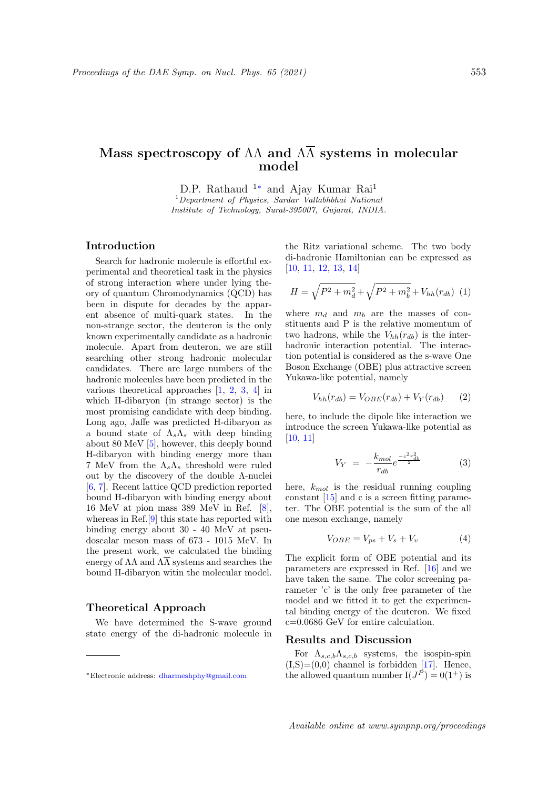# Mass spectroscopy of  $\Lambda\Lambda$  and  $\Lambda\overline{\Lambda}$  systems in molecular model

D.P. Rathaud <sup>1∗</sup> and Ajay Kumar Rai<sup>1</sup>

 $1$ Department of Physics, Sardar Vallabhbhai National Institute of Technology, Surat-395007, Gujarat, INDIA.

# Introduction

Search for hadronic molecule is effortful experimental and theoretical task in the physics of strong interaction where under lying theory of quantum Chromodynamics (QCD) has been in dispute for decades by the apparent absence of multi-quark states. In the non-strange sector, the deuteron is the only known experimentally candidate as a hadronic molecule. Apart from deuteron, we are still searching other strong hadronic molecular candidates. There are large numbers of the hadronic molecules have been predicted in the various theoretical approaches [1, 2, 3, 4] in which H-dibaryon (in strange sector) is the most promising candidate with deep binding. Long ago, Jaffe was predicted H-dibaryon as a bound state of  $\Lambda_s \Lambda_s$  with deep binding about 80 MeV [5], however, this deeply bound H-dibaryon with binding energy more than 7 MeV from the  $\Lambda_s \Lambda_s$  threshold were ruled out by the discovery of the double Λ-nuclei [6, 7]. Recent lattice QCD prediction reported bound H-dibaryon with binding energy about 16 MeV at pion mass 389 MeV in Ref. [8], whereas in Ref.[9] this state has reported with binding energy about 30 - 40 MeV at pseudoscalar meson mass of 673 - 1015 MeV. In the present work, we calculated the binding energy of  $\Lambda\Lambda$  and  $\Lambda\overline{\Lambda}$  systems and searches the bound H-dibaryon witin the molecular model.

### Theoretical Approach

We have determined the S-wave ground state energy of the di-hadronic molecule in the Ritz variational scheme. The two body di-hadronic Hamiltonian can be expressed as [10, 11, 12, 13, 14]

$$
H = \sqrt{P^2 + m_d^2} + \sqrt{P^2 + m_b^2} + V_{hh}(r_{db})
$$
 (1)

where  $m_d$  and  $m_b$  are the masses of constituents and P is the relative momentum of two hadrons, while the  $V_{hh}(r_{db})$  is the interhadronic interaction potential. The interaction potential is considered as the s-wave One Boson Exchange (OBE) plus attractive screen Yukawa-like potential, namely

$$
V_{hh}(r_{db}) = V_{OBE}(r_{db}) + V_Y(r_{db}) \qquad (2)
$$

here, to include the dipole like interaction we introduce the screen Yukawa-like potential as [10, 11]

$$
V_Y = -\frac{k_{mol}}{r_{db}} e^{\frac{-c^2 r_{db}^2}{2}}
$$
 (3)

here,  $k_{mol}$  is the residual running coupling constant [15] and c is a screen fitting parameter. The OBE potential is the sum of the all one meson exchange, namely

$$
V_{OBE} = V_{ps} + V_s + V_v \tag{4}
$$

The explicit form of OBE potential and its parameters are expressed in Ref. [16] and we have taken the same. The color screening parameter 'c' is the only free parameter of the model and we fitted it to get the experimental binding energy of the deuteron. We fixed c=0.0686 GeV for entire calculation.

## Results and Discussion

For  $\Lambda_{s,c,b}\Lambda_{s,c,b}$  systems, the isospin-spin  $(I, S)=(0,0)$  channel is forbidden [17]. Hence, the allowed quantum number  $I(J^P) = 0(1^+)$  is

<sup>∗</sup>Electronic address: dharmeshphy@gmail.com